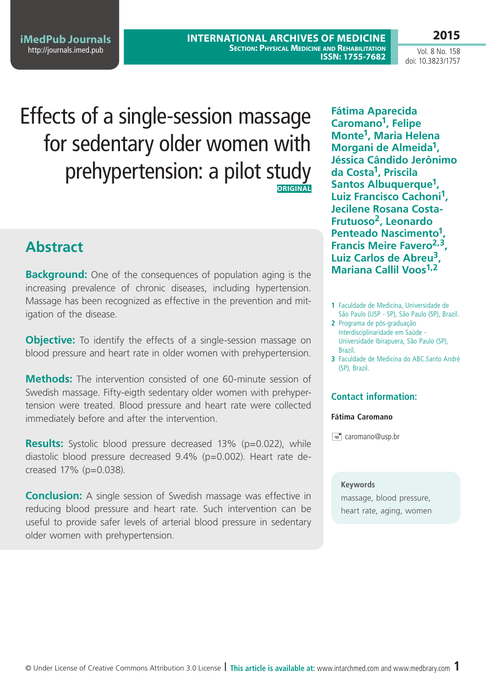**2015**

# Effects of a single-session massage for sedentary older women with prehypertension: a pilot study **ORIGINAL**

# **Abstract**

**Background:** One of the consequences of population aging is the increasing prevalence of chronic diseases, including hypertension. Massage has been recognized as effective in the prevention and mitigation of the disease.

**Objective:** To identify the effects of a single-session massage on blood pressure and heart rate in older women with prehypertension.

**Methods:** The intervention consisted of one 60-minute session of Swedish massage. Fifty-eigth sedentary older women with prehypertension were treated. Blood pressure and heart rate were collected immediately before and after the intervention.

**Results:** Systolic blood pressure decreased 13% (p=0.022), while diastolic blood pressure decreased 9.4% (p=0.002). Heart rate decreased 17% (p=0.038).

**Conclusion:** A single session of Swedish massage was effective in reducing blood pressure and heart rate. Such intervention can be useful to provide safer levels of arterial blood pressure in sedentary older women with prehypertension.

**Fátima Aparecida Caromano1, Felipe Monte1, Maria Helena Morgani de Almeida1, Jéssica Cândido Jerônimo da Costa1, Priscila Santos Albuquerque1, Luiz Francisco Cachoni1, Jecilene Rosana Costa-Frutuoso2, Leonardo Penteado Nascimento1, Francis Meire Favero2,3, Luiz Carlos de Abreu3, Mariana Callil Voos1,2**

- **1** Faculdade de Medicina, Universidade de São Paulo (USP - SP), São Paulo (SP), Brazil.
- **2** Programa de pós-graduação Interdisciplinaridade em Saúde - Universidade Ibirapuera, São Paulo (SP), Brazil.
- **3** Faculdade de Medicina do ABC.Santo André (SP), Brazil.

### **Contact information:**

### **Fátima Caromano**

 $\equiv$  caromano@usp.br

### **Keywords**

massage, blood pressure, heart rate, aging, women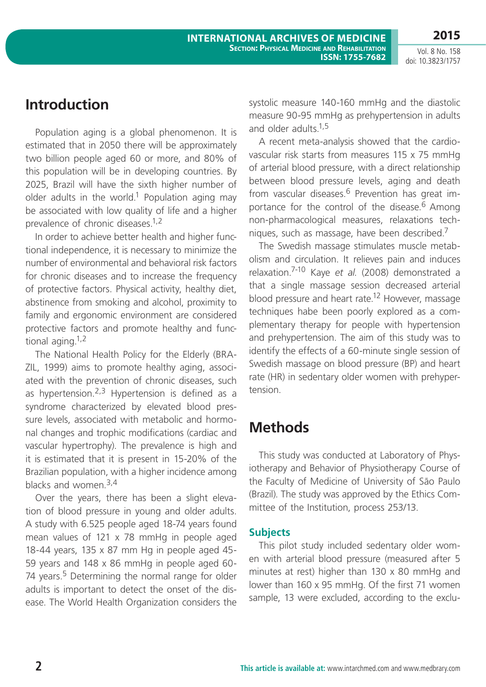## **Introduction**

Population aging is a global phenomenon. It is estimated that in 2050 there will be approximately two billion people aged 60 or more, and 80% of this population will be in developing countries. By 2025, Brazil will have the sixth higher number of older adults in the world.<sup>1</sup> Population aging may be associated with low quality of life and a higher prevalence of chronic diseases.1,2

In order to achieve better health and higher functional independence, it is necessary to minimize the number of environmental and behavioral risk factors for chronic diseases and to increase the frequency of protective factors. Physical activity, healthy diet, abstinence from smoking and alcohol, proximity to family and ergonomic environment are considered protective factors and promote healthy and functional aging. $1,2$ 

The National Health Policy for the Elderly (BRA-ZIL, 1999) aims to promote healthy aging, associated with the prevention of chronic diseases, such as hypertension.<sup>2,3</sup> Hypertension is defined as a syndrome characterized by elevated blood pressure levels, associated with metabolic and hormonal changes and trophic modifications (cardiac and vascular hypertrophy). The prevalence is high and it is estimated that it is present in 15-20% of the Brazilian population, with a higher incidence among blacks and women.3,4

Over the years, there has been a slight elevation of blood pressure in young and older adults. A study with 6.525 people aged 18-74 years found mean values of 121 x 78 mmHg in people aged 18-44 years, 135 x 87 mm Hg in people aged 45- 59 years and 148 x 86 mmHg in people aged 60- 74 years.<sup>5</sup> Determining the normal range for older adults is important to detect the onset of the disease. The World Health Organization considers the systolic measure 140-160 mmHg and the diastolic measure 90-95 mmHg as prehypertension in adults and older adults.<sup>1,5</sup>

A recent meta-analysis showed that the cardiovascular risk starts from measures 115 x 75 mmHg of arterial blood pressure, with a direct relationship between blood pressure levels, aging and death from vascular diseases.<sup>6</sup> Prevention has great importance for the control of the disease.<sup>6</sup> Among non-pharmacological measures, relaxations techniques, such as massage, have been described.7

The Swedish massage stimulates muscle metabolism and circulation. It relieves pain and induces relaxation.7-10 Kaye *et al*. (2008) demonstrated a that a single massage session decreased arterial blood pressure and heart rate.<sup>12</sup> However, massage techniques habe been poorly explored as a complementary therapy for people with hypertension and prehypertension. The aim of this study was to identify the effects of a 60-minute single session of Swedish massage on blood pressure (BP) and heart rate (HR) in sedentary older women with prehypertension.

# **Methods**

This study was conducted at Laboratory of Physiotherapy and Behavior of Physiotherapy Course of the Faculty of Medicine of University of São Paulo (Brazil). The study was approved by the Ethics Committee of the Institution, process 253/13.

### **Subjects**

This pilot study included sedentary older women with arterial blood pressure (measured after 5 minutes at rest) higher than 130 x 80 mmHg and lower than 160 x 95 mmHg. Of the first 71 women sample, 13 were excluded, according to the exclu-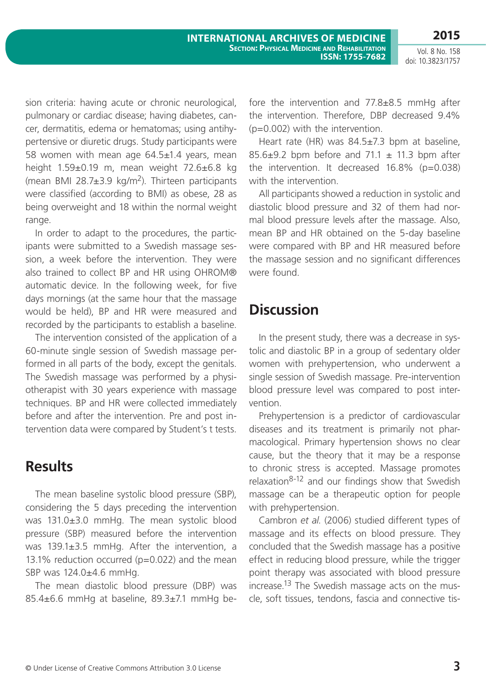sion criteria: having acute or chronic neurological, pulmonary or cardiac disease; having diabetes, cancer, dermatitis, edema or hematomas; using antihypertensive or diuretic drugs. Study participants were 58 women with mean age 64.5±1.4 years, mean height 1.59±0.19 m, mean weight 72.6±6.8 kg (mean BMI 28.7 $\pm$ 3.9 kg/m<sup>2</sup>). Thirteen participants were classified (according to BMI) as obese, 28 as being overweight and 18 within the normal weight range.

In order to adapt to the procedures, the participants were submitted to a Swedish massage session, a week before the intervention. They were also trained to collect BP and HR using OHROM® automatic device. In the following week, for five days mornings (at the same hour that the massage would be held), BP and HR were measured and recorded by the participants to establish a baseline.

The intervention consisted of the application of a 60-minute single session of Swedish massage performed in all parts of the body, except the genitals. The Swedish massage was performed by a physiotherapist with 30 years experience with massage techniques. BP and HR were collected immediately before and after the intervention. Pre and post intervention data were compared by Student's t tests.

### **Results**

The mean baseline systolic blood pressure (SBP), considering the 5 days preceding the intervention was 131.0±3.0 mmHg. The mean systolic blood pressure (SBP) measured before the intervention was 139.1±3.5 mmHg. After the intervention, a 13.1% reduction occurred (p=0.022) and the mean SBP was 124.0±4.6 mmHg.

The mean diastolic blood pressure (DBP) was 85.4±6.6 mmHg at baseline, 89.3±7.1 mmHg before the intervention and 77.8±8.5 mmHg after the intervention. Therefore, DBP decreased 9.4% (p=0.002) with the intervention.

Heart rate (HR) was 84.5±7.3 bpm at baseline, 85.6 $\pm$ 9.2 bpm before and 71.1  $\pm$  11.3 bpm after the intervention. It decreased 16.8% (p=0.038) with the intervention.

All participants showed a reduction in systolic and diastolic blood pressure and 32 of them had normal blood pressure levels after the massage. Also, mean BP and HR obtained on the 5-day baseline were compared with BP and HR measured before the massage session and no significant differences were found.

# **Discussion**

In the present study, there was a decrease in systolic and diastolic BP in a group of sedentary older women with prehypertension, who underwent a single session of Swedish massage. Pre-intervention blood pressure level was compared to post intervention.

Prehypertension is a predictor of cardiovascular diseases and its treatment is primarily not pharmacological. Primary hypertension shows no clear cause, but the theory that it may be a response to chronic stress is accepted. Massage promotes relaxation<sup>8-12</sup> and our findings show that Swedish massage can be a therapeutic option for people with prehypertension.

Cambron *et al*. (2006) studied different types of massage and its effects on blood pressure. They concluded that the Swedish massage has a positive effect in reducing blood pressure, while the trigger point therapy was associated with blood pressure increase.13 The Swedish massage acts on the muscle, soft tissues, tendons, fascia and connective tis-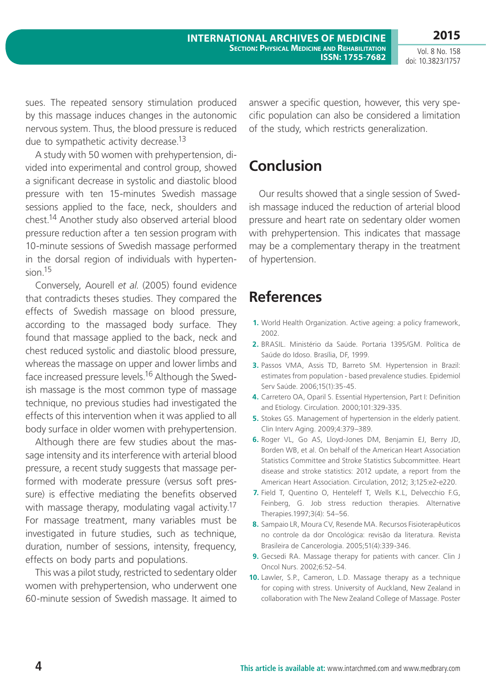**2015**

Vol. 8 No. 158 doi: 10.3823/1757

sues. The repeated sensory stimulation produced by this massage induces changes in the autonomic nervous system. Thus, the blood pressure is reduced due to sympathetic activity decrease.<sup>13</sup>

A study with 50 women with prehypertension, divided into experimental and control group, showed a significant decrease in systolic and diastolic blood pressure with ten 15-minutes Swedish massage sessions applied to the face, neck, shoulders and chest.14 Another study also observed arterial blood pressure reduction after a ten session program with 10-minute sessions of Swedish massage performed in the dorsal region of individuals with hypertension.15

Conversely, Aourell *et al*. (2005) found evidence that contradicts theses studies. They compared the effects of Swedish massage on blood pressure, according to the massaged body surface. They found that massage applied to the back, neck and chest reduced systolic and diastolic blood pressure, whereas the massage on upper and lower limbs and face increased pressure levels.16 Although the Swedish massage is the most common type of massage technique, no previous studies had investigated the effects of this intervention when it was applied to all body surface in older women with prehypertension.

Although there are few studies about the massage intensity and its interference with arterial blood pressure, a recent study suggests that massage performed with moderate pressure (versus soft pressure) is effective mediating the benefits observed with massage therapy, modulating vagal activity.<sup>17</sup> For massage treatment, many variables must be investigated in future studies, such as technique, duration, number of sessions, intensity, frequency, effects on body parts and populations.

This was a pilot study, restricted to sedentary older women with prehypertension, who underwent one 60-minute session of Swedish massage. It aimed to answer a specific question, however, this very specific population can also be considered a limitation of the study, which restricts generalization.

# **Conclusion**

Our results showed that a single session of Swedish massage induced the reduction of arterial blood pressure and heart rate on sedentary older women with prehypertension. This indicates that massage may be a complementary therapy in the treatment of hypertension.

# **References**

- **1.** World Health Organization. Active ageing: a policy framework, 2002.
- **2.** BRASIL. Ministério da Saúde. Portaria 1395/GM. Política de Saúde do Idoso. Brasília, DF, 1999.
- **3.** Passos VMA, Assis TD, Barreto SM. Hypertension in Brazil: estimates from population - based prevalence studies. Epidemiol Serv Saúde. 2006;15(1):35-45.
- **4.** Carretero OA, Oparil S. Essential Hypertension, Part I: Definition and Etiology. Circulation. 2000;101:329-335.
- **5.** Stokes GS. Management of hypertension in the elderly patient. Clin Interv Aging. 2009;4:379–389.
- **6.** Roger VL, Go AS, Lloyd-Jones DM, Benjamin EJ, Berry JD, Borden WB, et al. On behalf of the American Heart Association Statistics Committee and Stroke Statistics Subcommittee. Heart disease and stroke statistics: 2012 update, a report from the American Heart Association. Circulation, 2012; 3;125:e2-e220.
- **7.** Field T, Quentino O, Henteleff T, Wells K.L, Delvecchio F.G, Feinberg, G. Job stress reduction therapies. Alternative Therapies.1997;3(4): 54–56.
- **8.** Sampaio LR, Moura CV, Resende MA. Recursos Fisioterapêuticos no controle da dor Oncológica: revisão da literatura. Revista Brasileira de Cancerologia. 2005;51(4):339-346.
- **9.** Gecsedi RA. Massage therapy for patients with cancer. Clin J Oncol Nurs. 2002;6:52–54.
- **10.** Lawler, S.P., Cameron, L.D. Massage therapy as a technique for coping with stress. University of Auckland, New Zealand in collaboration with The New Zealand College of Massage. Poster